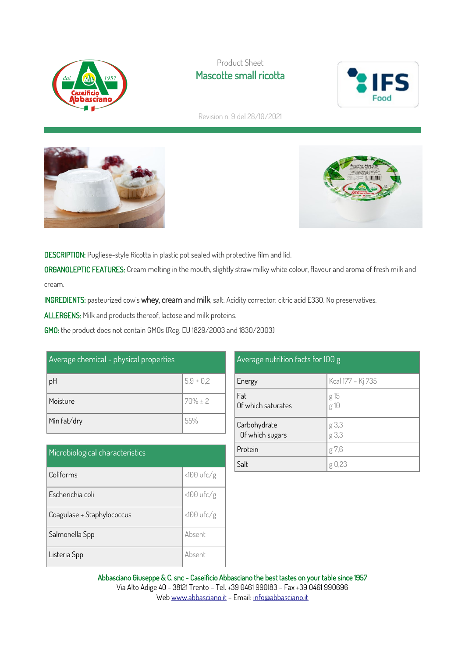

### Product Sheet Mascotte small ricotta



Revision n. 9 del 28/10/2021





DESCRIPTION: Pugliese-style Ricotta in plastic pot sealed with protective film and lid.

ORGANOLEPTIC FEATURES: Cream melting in the mouth, slightly straw milky white colour, flavour and aroma of fresh milk and cream.

INGREDIENTS: pasteurized cow's whey, cream and milk, salt. Acidity corrector: citric acid E330. No preservatives.

ALLERGENS: Milk and products thereof, lactose and milk proteins.

GMO: the product does not contain GMOs (Reg. EU 1829/2003 and 1830/2003)

| Average chemical - physical properties |               |  |
|----------------------------------------|---------------|--|
| pH                                     | $5,9 \pm 0,2$ |  |
| Moisture                               | $70\% \pm 2$  |  |
| Min fat/dry                            | 55%           |  |

| Microbiological characteristics |              |  |
|---------------------------------|--------------|--|
| Coliforms                       | $<100$ ufc/g |  |
| Escherichia coli                | $<100$ ufc/g |  |
| Coagulase + Staphylococcus      | $<100$ ufc/g |  |
| Salmonella Spp                  | Absent       |  |
| Listeria Spp                    | Absent       |  |

| $\circ$                         | $\circ$           |
|---------------------------------|-------------------|
| Energy                          | Kcal 177 - Kj 735 |
| Fat<br>Of which saturates       | g 15<br>g 10      |
| Carbohydrate<br>Of which sugars | g 3,3<br>g 3,3    |
| Protein                         | g 7,6             |
| Salt                            |                   |

Average nutrition facts for 100 g

Abbasciano Giuseppe & C. snc - Caseificio Abbasciano the best tastes on your table since 1957 Via Alto Adige 40 - 38121 Trento – Tel. +39 0461 990183 – Fax +39 0461 990696 We[b www.abbasciano.it](http://www.abbasciano.it/) – Email[: info@abbasciano.it](mailto:info@abbasciano.it)